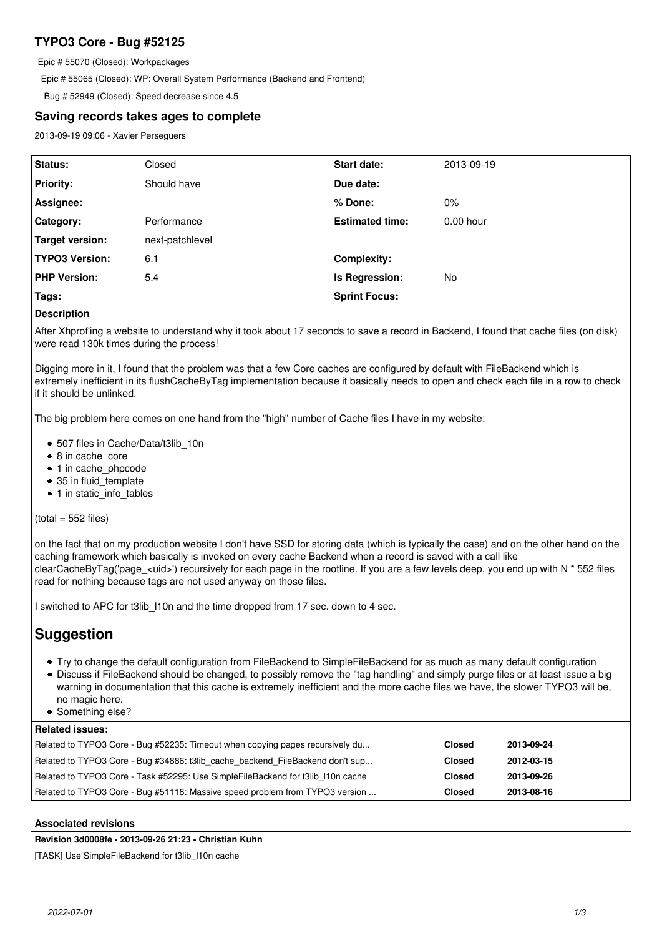# **TYPO3 Core - Bug #52125**

Epic # 55070 (Closed): Workpackages

Epic # 55065 (Closed): WP: Overall System Performance (Backend and Frontend)

Bug # 52949 (Closed): Speed decrease since 4.5

## **Saving records takes ages to complete**

2013-09-19 09:06 - Xavier Perseguers

| Status:               | Closed          | <b>Start date:</b>     | 2013-09-19  |
|-----------------------|-----------------|------------------------|-------------|
| <b>Priority:</b>      | Should have     | Due date:              |             |
| Assignee:             |                 | % Done:                | $0\%$       |
| <b>Category:</b>      | Performance     | <b>Estimated time:</b> | $0.00$ hour |
| Target version:       | next-patchlevel |                        |             |
| <b>TYPO3 Version:</b> | 6.1             | <b>Complexity:</b>     |             |
| <b>PHP Version:</b>   | 5.4             | Is Regression:         | No          |
| Tags:                 |                 | <b>Sprint Focus:</b>   |             |

## **Description**

After Xhprof'ing a website to understand why it took about 17 seconds to save a record in Backend, I found that cache files (on disk) were read 130k times during the process!

Digging more in it, I found that the problem was that a few Core caches are configured by default with FileBackend which is extremely inefficient in its flushCacheByTag implementation because it basically needs to open and check each file in a row to check if it should be unlinked.

The big problem here comes on one hand from the "high" number of Cache files I have in my website:

- 507 files in Cache/Data/t3lib\_10n
- 8 in cache\_core
- 1 in cache\_phpcode
- 35 in fluid\_template
- 1 in static\_info\_tables

 $(total = 552$  files)

on the fact that on my production website I don't have SSD for storing data (which is typically the case) and on the other hand on the caching framework which basically is invoked on every cache Backend when a record is saved with a call like clearCacheByTag('page\_<uid>') recursively for each page in the rootline. If you are a few levels deep, you end up with N \* 552 files read for nothing because tags are not used anyway on those files.

I switched to APC for t3lib\_l10n and the time dropped from 17 sec. down to 4 sec.

# **Suggestion**

- Try to change the default configuration from FileBackend to SimpleFileBackend for as much as many default configuration
- Discuss if FileBackend should be changed, to possibly remove the "tag handling" and simply purge files or at least issue a big warning in documentation that this cache is extremely inefficient and the more cache files we have, the slower TYPO3 will be, no magic here.
- Something else?

## **Related issues:**

| Related to TYPO3 Core - Bug #51116: Massive speed problem from TYPO3 version    | <b>Closed</b> | 2013-08-16 |
|---------------------------------------------------------------------------------|---------------|------------|
| Related to TYPO3 Core - Task #52295: Use SimpleFileBackend for t3lib 110n cache | Closed        | 2013-09-26 |
| Related to TYPO3 Core - Bug #34886: t3lib cache backend FileBackend don't sup   | Closed        | 2012-03-15 |
| Related to TYPO3 Core - Bug #52235: Timeout when copying pages recursively du   | Closed        | 2013-09-24 |

## **Associated revisions**

**Revision 3d0008fe - 2013-09-26 21:23 - Christian Kuhn**

[TASK] Use SimpleFileBackend for t3lib\_l10n cache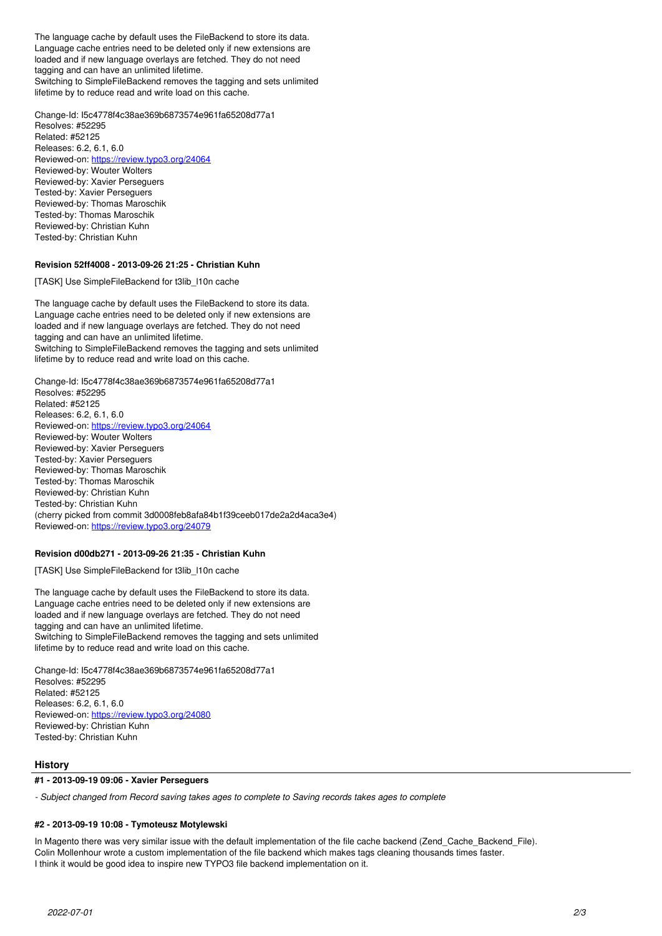The language cache by default uses the FileBackend to store its data. Language cache entries need to be deleted only if new extensions are loaded and if new language overlays are fetched. They do not need tagging and can have an unlimited lifetime. Switching to SimpleFileBackend removes the tagging and sets unlimited lifetime by to reduce read and write load on this cache.

Change-Id: I5c4778f4c38ae369b6873574e961fa65208d77a1 Resolves: #52295 Related: #52125 Releases: 6.2, 6.1, 6.0 Reviewed-on:<https://review.typo3.org/24064> Reviewed-by: Wouter Wolters Reviewed-by: Xavier Perseguers Tested-by: Xavier Perseguers Reviewed-by: Thomas Maroschik Tested-by: Thomas Maroschik Reviewed-by: Christian Kuhn Tested-by: Christian Kuhn

## **Revision 52ff4008 - 2013-09-26 21:25 - Christian Kuhn**

[TASK] Use SimpleFileBackend for t3lib\_l10n cache

The language cache by default uses the FileBackend to store its data. Language cache entries need to be deleted only if new extensions are loaded and if new language overlays are fetched. They do not need tagging and can have an unlimited lifetime. Switching to SimpleFileBackend removes the tagging and sets unlimited lifetime by to reduce read and write load on this cache.

Change-Id: I5c4778f4c38ae369b6873574e961fa65208d77a1 Resolves: #52295 Related: #52125 Releases: 6.2, 6.1, 6.0 Reviewed-on:<https://review.typo3.org/24064> Reviewed-by: Wouter Wolters Reviewed-by: Xavier Perseguers Tested-by: Xavier Perseguers Reviewed-by: Thomas Maroschik Tested-by: Thomas Maroschik Reviewed-by: Christian Kuhn Tested-by: Christian Kuhn (cherry picked from commit 3d0008feb8afa84b1f39ceeb017de2a2d4aca3e4) Reviewed-on:<https://review.typo3.org/24079>

## **Revision d00db271 - 2013-09-26 21:35 - Christian Kuhn**

[TASK] Use SimpleFileBackend for t3lib\_l10n cache

The language cache by default uses the FileBackend to store its data. Language cache entries need to be deleted only if new extensions are loaded and if new language overlays are fetched. They do not need tagging and can have an unlimited lifetime. Switching to SimpleFileBackend removes the tagging and sets unlimited lifetime by to reduce read and write load on this cache.

Change-Id: I5c4778f4c38ae369b6873574e961fa65208d77a1 Resolves: #52295 Related: #52125 Releases: 6.2, 6.1, 6.0 Reviewed-on:<https://review.typo3.org/24080> Reviewed-by: Christian Kuhn Tested-by: Christian Kuhn

## **History**

## **#1 - 2013-09-19 09:06 - Xavier Perseguers**

*- Subject changed from Record saving takes ages to complete to Saving records takes ages to complete*

#### **#2 - 2013-09-19 10:08 - Tymoteusz Motylewski**

In Magento there was very similar issue with the default implementation of the file cache backend (Zend Cache Backend File). Colin Mollenhour wrote a custom implementation of the file backend which makes tags cleaning thousands times faster. I think it would be good idea to inspire new TYPO3 file backend implementation on it.